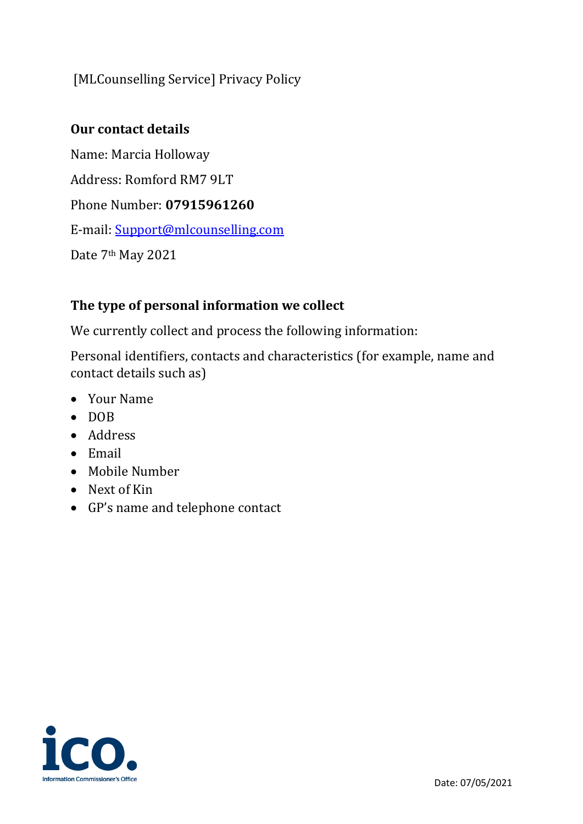# [MLCounselling Service] Privacy Policy

# **Our contact details**

Name: Marcia Holloway Address: Romford RM7 9LT Phone Number: **07915961260** E-mail: [Support@mlcounselling.com](mailto:Support@mlcounselling.com) Date 7<sup>th</sup> May 2021

# **The type of personal information we collect**

We currently collect and process the following information:

Personal identifiers, contacts and characteristics (for example, name and contact details such as)

- Your Name
- DOB
- Address
- Email
- Mobile Number
- Next of Kin
- GP's name and telephone contact

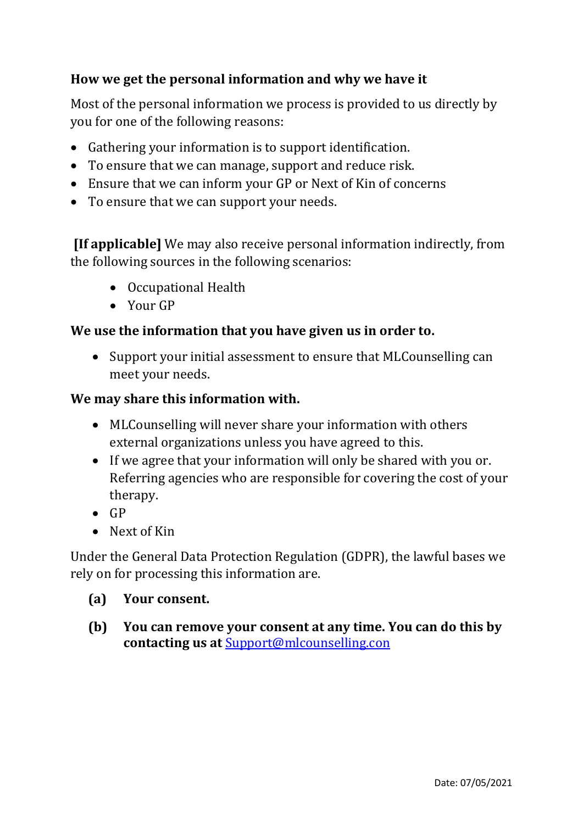# **How we get the personal information and why we have it**

Most of the personal information we process is provided to us directly by you for one of the following reasons:

- Gathering your information is to support identification.
- To ensure that we can manage, support and reduce risk.
- Ensure that we can inform your GP or Next of Kin of concerns
- To ensure that we can support your needs.

**[If applicable]** We may also receive personal information indirectly, from the following sources in the following scenarios:

- Occupational Health
- Your GP

## **We use the information that you have given us in order to.**

• Support your initial assessment to ensure that MLCounselling can meet your needs.

#### **We may share this information with.**

- MLCounselling will never share your information with others external organizations unless you have agreed to this.
- If we agree that your information will only be shared with you or. Referring agencies who are responsible for covering the cost of your therapy.
- $\bullet$  GP
- Next of Kin

Under the General Data Protection Regulation (GDPR), the lawful bases we rely on for processing this information are.

## **(a) Your consent.**

**(b) You can remove your consent at any time. You can do this by contacting us at** [Support@mlcounselling.con](mailto:Support@mlcounselling.con)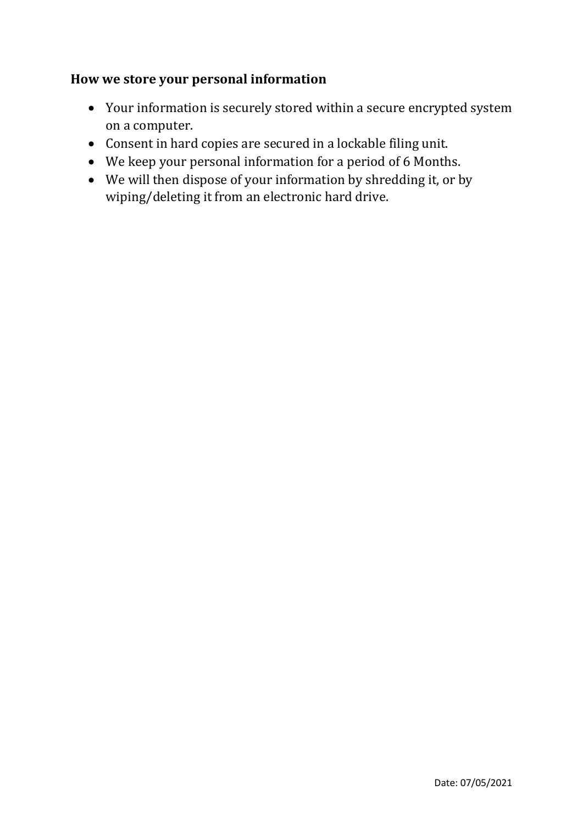# **How we store your personal information**

- Your information is securely stored within a secure encrypted system on a computer.
- Consent in hard copies are secured in a lockable filing unit.
- We keep your personal information for a period of 6 Months.
- We will then dispose of your information by shredding it, or by wiping/deleting it from an electronic hard drive.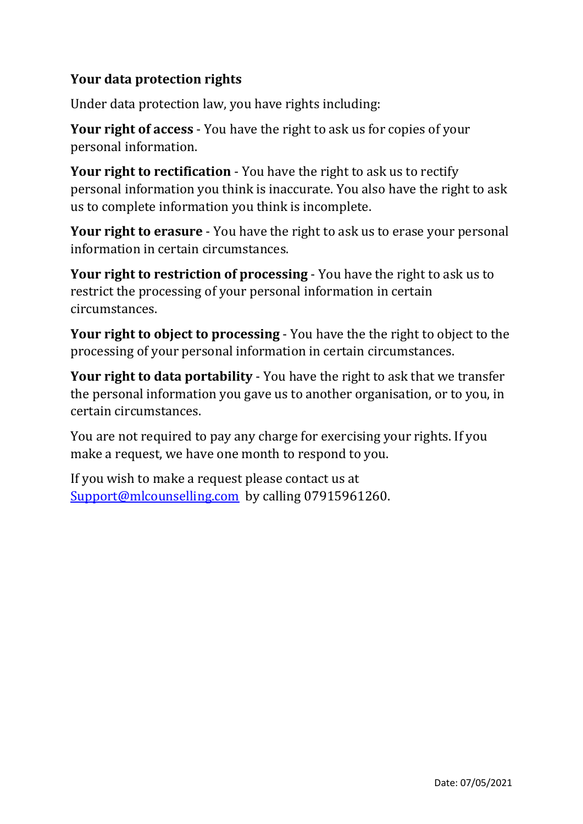# **Your data protection rights**

Under data protection law, you have rights including:

**Your right of access** - You have the right to ask us for copies of your personal information.

**Your right to rectification** - You have the right to ask us to rectify personal information you think is inaccurate. You also have the right to ask us to complete information you think is incomplete.

**Your right to erasure** - You have the right to ask us to erase your personal information in certain circumstances.

**Your right to restriction of processing** - You have the right to ask us to restrict the processing of your personal information in certain circumstances.

**Your right to object to processing** - You have the the right to object to the processing of your personal information in certain circumstances.

**Your right to data portability** - You have the right to ask that we transfer the personal information you gave us to another organisation, or to you, in certain circumstances.

You are not required to pay any charge for exercising your rights. If you make a request, we have one month to respond to you.

If you wish to make a request please contact us at [Support@mlcounselling.com](mailto:Support@mlcounselling.com) by calling 07915961260.